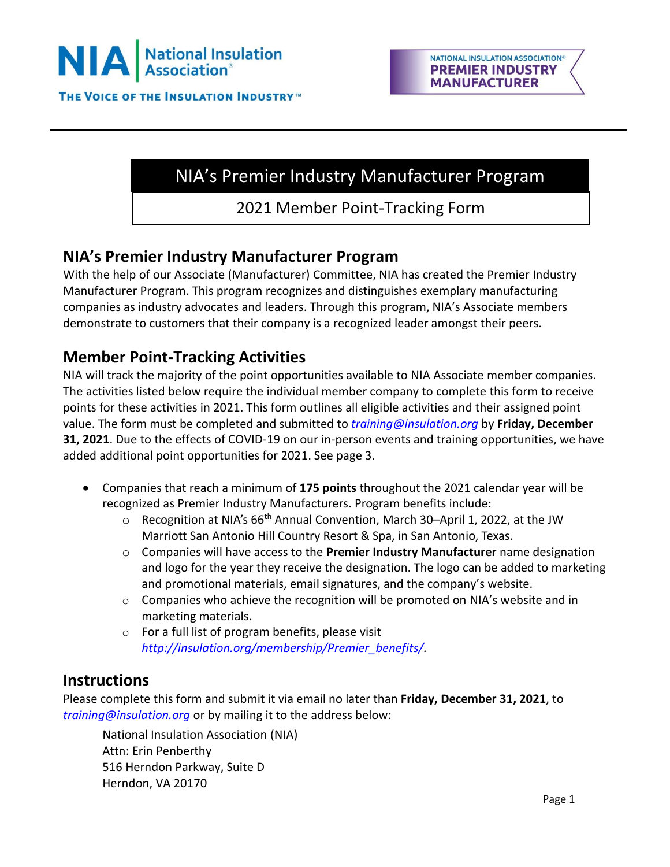

# NIA's Premier Industry Manufacturer Program

2021 Member Point-Tracking Form

## **NIA's Premier Industry Manufacturer Program**

With the help of our Associate (Manufacturer) Committee, NIA has created the Premier Industry Manufacturer Program. This program recognizes and distinguishes exemplary manufacturing companies as industry advocates and leaders. Through this program, NIA's Associate members demonstrate to customers that their company is a recognized leader amongst their peers.

#### **Member Point-Tracking Activities**

NIA will track the majority of the point opportunities available to NIA Associate member companies. The activities listed below require the individual member company to complete this form to receive points for these activities in 2021. This form outlines all eligible activities and their assigned point value. The form must be completed and submitted to *[training@insulation.org](mailto:training@insulation.org)* by **Friday, December 31, 2021**. Due to the effects of COVID-19 on our in-person events and training opportunities, we have added additional point opportunities for 2021. See page 3.

- Companies that reach a minimum of **175 points** throughout the 2021 calendar year will be recognized as Premier Industry Manufacturers. Program benefits include:
	- $\circ$  Recognition at NIA's 66<sup>th</sup> Annual Convention, March 30–April 1, 2022, at the JW Marriott San Antonio Hill Country Resort & Spa, in San Antonio, Texas.
	- o Companies will have access to the **Premier Industry Manufacturer** name designation and logo for the year they receive the designation. The logo can be added to marketing and promotional materials, email signatures, and the company's website.
	- $\circ$  Companies who achieve the recognition will be promoted on NIA's website and in marketing materials.
	- o For a full list of program benefits, please visit *[http://insulation.org/membership/Premier\\_benefits/.](http://insulation.org/membership/Premier_benefits/)*

#### **Instructions**

Please complete this form and submit it via email no later than **Friday, December 31, 2021**, to *[training@insulation.org](mailto:training@insulation.org)* or by mailing it to the address below:

National Insulation Association (NIA) Attn: Erin Penberthy 516 Herndon Parkway, Suite D Herndon, VA 20170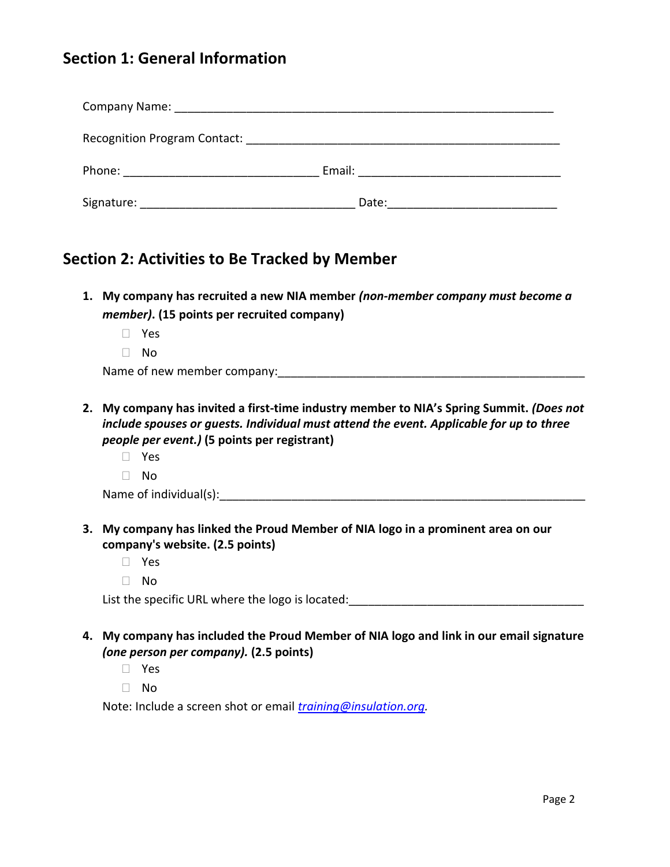## **Section 1: General Information**

| <b>Company Name:</b>                |        |  |
|-------------------------------------|--------|--|
| <b>Recognition Program Contact:</b> |        |  |
| Phone:                              | Email: |  |
| Signature:                          | Date:  |  |

#### **Section 2: Activities to Be Tracked by Member**

- **1. My company has recruited a new NIA member** *(non-member company must become a member)***. (15 points per recruited company)**
	- Yes
	- $\Box$  No

Name of new member company:  $\Box$ 

- **2. My company has invited a first-time industry member to NIA's Spring Summit.** *(Does not include spouses or guests. Individual must attend the event. Applicable for up to three people per event.)* **(5 points per registrant)**
	- Yes
	- No

```
Name of individual(s): example 3 and \sum_{i=1}^{n} and \sum_{i=1}^{n} and \sum_{i=1}^{n} and \sum_{i=1}^{n} and \sum_{i=1}^{n} and \sum_{i=1}^{n} and \sum_{i=1}^{n} and \sum_{i=1}^{n} and \sum_{i=1}^{n} and \sum_{i=1}^{n} and \sum_{i=1}^{n} an
```
- **3. My company has linked the Proud Member of NIA logo in a prominent area on our company's website. (2.5 points)**
	- Yes
	- $\Box$  No

List the specific URL where the logo is located: List the specific URL where the logo is located:

- **4. My company has included the Proud Member of NIA logo and link in our email signature** *(one person per company).* **(2.5 points)**
	- Yes
	- No

Note: Include a screen shot or email *[training@insulation.org.](mailto:training@insulation.org)*